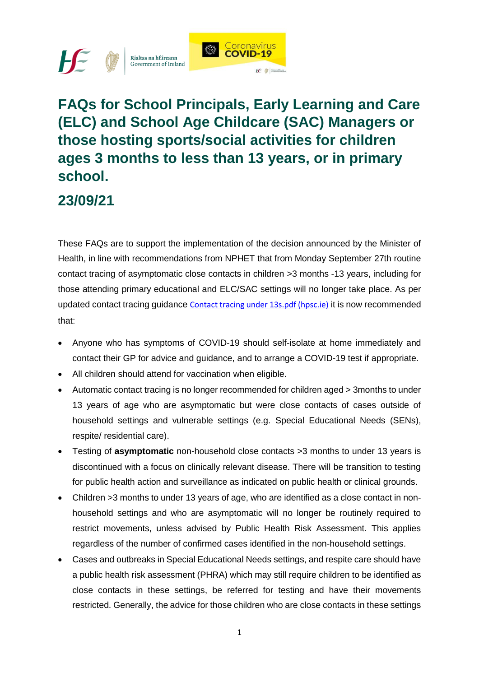

## **FAQs for School Principals, Early Learning and Care (ELC) and School Age Childcare (SAC) Managers or those hosting sports/social activities for children ages 3 months to less than 13 years, or in primary school.**

#### **23/09/21**

These FAQs are to support the implementation of the decision announced by the Minister of Health, in line with recommendations from NPHET that from Monday September 27th routine contact tracing of asymptomatic close contacts in children >3 months -13 years, including for those attending primary educational and ELC/SAC settings will no longer take place. As per updated contact tracing guidance [Contact tracing under 13s.pdf \(hpsc.ie\)](https://www.hpsc.ie/a-z/respiratory/coronavirus/novelcoronavirus/guidance/contacttracingguidance/Contact%20tracing%20under%2013s.pdf) it is now recommended that:

- Anyone who has symptoms of COVID-19 should self-isolate at home immediately and contact their GP for advice and guidance, and to arrange a COVID-19 test if appropriate.
- All children should attend for vaccination when eligible.
- Automatic contact tracing is no longer recommended for children aged > 3months to under 13 years of age who are asymptomatic but were close contacts of cases outside of household settings and vulnerable settings (e.g. Special Educational Needs (SENs), respite/ residential care).
- Testing of **asymptomatic** non-household close contacts >3 months to under 13 years is discontinued with a focus on clinically relevant disease. There will be transition to testing for public health action and surveillance as indicated on public health or clinical grounds.
- Children >3 months to under 13 years of age, who are identified as a close contact in nonhousehold settings and who are asymptomatic will no longer be routinely required to restrict movements, unless advised by Public Health Risk Assessment. This applies regardless of the number of confirmed cases identified in the non-household settings.
- Cases and outbreaks in Special Educational Needs settings, and respite care should have a public health risk assessment (PHRA) which may still require children to be identified as close contacts in these settings, be referred for testing and have their movements restricted. Generally, the advice for those children who are close contacts in these settings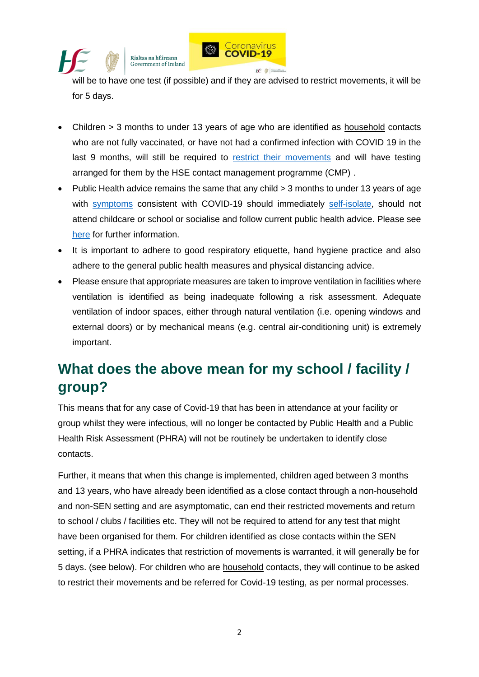

Rialtas na hÉireann Government of Ireland

will be to have one test (if possible) and if they are advised to restrict movements, it will be for 5 days.

- Children > 3 months to under 13 years of age who are identified as household contacts who are not fully vaccinated, or have not had a confirmed infection with COVID 19 in the last 9 months, will still be required to [restrict their movements](https://www2.hse.ie/conditions/covid19/restricted-movements/restricted-movements/) and will have testing arranged for them by the HSE contact management programme (CMP) .
- Public Health advice remains the same that any child > 3 months to under 13 years of age with [symptoms](https://www2.hse.ie/conditions/covid19/symptoms/overview/) consistent with COVID-19 should immediately [self-isolate,](https://www2.hse.ie/conditions/covid19/restricted-movements/) should not attend childcare or school or socialise and follow current public health advice. Please see [here](https://www.hpsc.ie/a-z/respiratory/coronavirus/novelcoronavirus/algorithms/) for further information.
- It is important to adhere to good respiratory etiquette, hand hygiene practice and also adhere to the general public health measures and physical distancing advice.
- Please ensure that appropriate measures are taken to improve ventilation in facilities where ventilation is identified as being inadequate following a risk assessment. Adequate ventilation of indoor spaces, either through natural ventilation (i.e. opening windows and external doors) or by mechanical means (e.g. central air-conditioning unit) is extremely important.

## **What does the above mean for my school / facility / group?**

This means that for any case of Covid-19 that has been in attendance at your facility or group whilst they were infectious, will no longer be contacted by Public Health and a Public Health Risk Assessment (PHRA) will not be routinely be undertaken to identify close contacts.

Further, it means that when this change is implemented, children aged between 3 months and 13 years, who have already been identified as a close contact through a non-household and non-SEN setting and are asymptomatic, can end their restricted movements and return to school / clubs / facilities etc. They will not be required to attend for any test that might have been organised for them. For children identified as close contacts within the SEN setting, if a PHRA indicates that restriction of movements is warranted, it will generally be for 5 days. (see below). For children who are household contacts, they will continue to be asked to restrict their movements and be referred for Covid-19 testing, as per normal processes.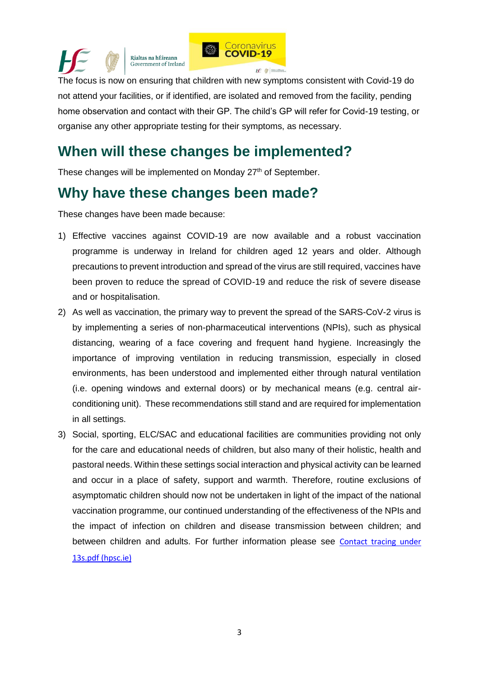

The focus is now on ensuring that children with new symptoms consistent with Covid-19 do not attend your facilities, or if identified, are isolated and removed from the facility, pending home observation and contact with their GP. The child's GP will refer for Covid-19 testing, or organise any other appropriate testing for their symptoms, as necessary.

### **When will these changes be implemented?**

These changes will be implemented on Monday 27<sup>th</sup> of September.

## **Why have these changes been made?**

These changes have been made because:

- 1) Effective vaccines against COVID-19 are now available and a robust vaccination programme is underway in Ireland for children aged 12 years and older. Although precautions to prevent introduction and spread of the virus are still required, vaccines have been proven to reduce the spread of COVID-19 and reduce the risk of severe disease and or hospitalisation.
- 2) As well as vaccination, the primary way to prevent the spread of the SARS-CoV-2 virus is by implementing a series of non-pharmaceutical interventions (NPIs), such as physical distancing, wearing of a face covering and frequent hand hygiene. Increasingly the importance of improving ventilation in reducing transmission, especially in closed environments, has been understood and implemented either through natural ventilation (i.e. opening windows and external doors) or by mechanical means (e.g. central airconditioning unit). These recommendations still stand and are required for implementation in all settings.
- 3) Social, sporting, ELC/SAC and educational facilities are communities providing not only for the care and educational needs of children, but also many of their holistic, health and pastoral needs. Within these settings social interaction and physical activity can be learned and occur in a place of safety, support and warmth. Therefore, routine exclusions of asymptomatic children should now not be undertaken in light of the impact of the national vaccination programme, our continued understanding of the effectiveness of the NPIs and the impact of infection on children and disease transmission between children; and between children and adults. For further information please see [Contact tracing](https://www.hpsc.ie/a-z/respiratory/coronavirus/novelcoronavirus/guidance/contacttracingguidance/Contact%20tracing%20under%2013s.pdf) under [13s.pdf \(hpsc.ie\)](https://www.hpsc.ie/a-z/respiratory/coronavirus/novelcoronavirus/guidance/contacttracingguidance/Contact%20tracing%20under%2013s.pdf)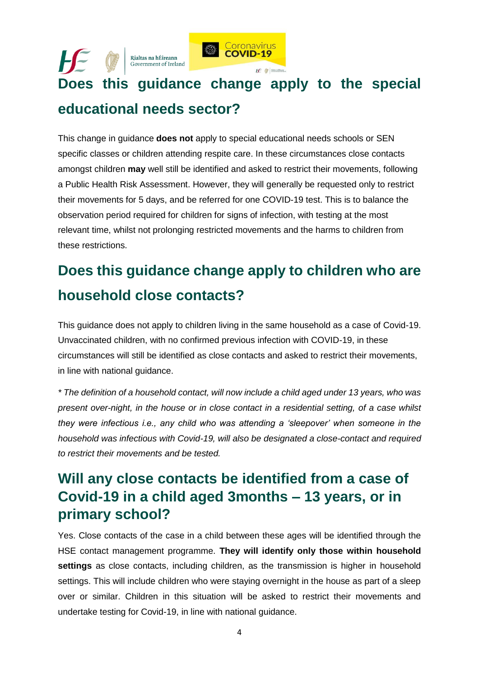#### **Coronavirus** Rialtas na hÉireann Government of Ireland **Does this guidance change apply to the special educational needs sector?**

This change in guidance **does not** apply to special educational needs schools or SEN specific classes or children attending respite care. In these circumstances close contacts amongst children **may** well still be identified and asked to restrict their movements, following a Public Health Risk Assessment. However, they will generally be requested only to restrict their movements for 5 days, and be referred for one COVID-19 test. This is to balance the observation period required for children for signs of infection, with testing at the most relevant time, whilst not prolonging restricted movements and the harms to children from these restrictions.

# **Does this guidance change apply to children who are household close contacts?**

This guidance does not apply to children living in the same household as a case of Covid-19. Unvaccinated children, with no confirmed previous infection with COVID-19, in these circumstances will still be identified as close contacts and asked to restrict their movements, in line with national guidance.

*\* The definition of a household contact, will now include a child aged under 13 years, who was present over-night, in the house or in close contact in a residential setting, of a case whilst they were infectious i.e., any child who was attending a 'sleepover' when someone in the household was infectious with Covid-19, will also be designated a close-contact and required to restrict their movements and be tested.*

## **Will any close contacts be identified from a case of Covid-19 in a child aged 3months – 13 years, or in primary school?**

Yes. Close contacts of the case in a child between these ages will be identified through the HSE contact management programme. **They will identify only those within household settings** as close contacts, including children, as the transmission is higher in household settings. This will include children who were staying overnight in the house as part of a sleep over or similar. Children in this situation will be asked to restrict their movements and undertake testing for Covid-19, in line with national guidance.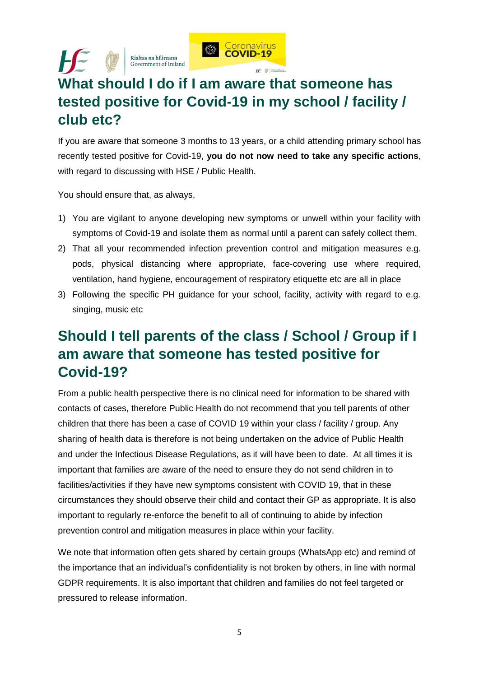

## **What should I do if I am aware that someone has tested positive for Covid-19 in my school / facility / club etc?**

If you are aware that someone 3 months to 13 years, or a child attending primary school has recently tested positive for Covid-19, **you do not now need to take any specific actions**, with regard to discussing with HSE / Public Health.

You should ensure that, as always,

Rialtas na hÉireann

 $H \subseteq$ 

- 1) You are vigilant to anyone developing new symptoms or unwell within your facility with symptoms of Covid-19 and isolate them as normal until a parent can safely collect them.
- 2) That all your recommended infection prevention control and mitigation measures e.g. pods, physical distancing where appropriate, face-covering use where required, ventilation, hand hygiene, encouragement of respiratory etiquette etc are all in place
- 3) Following the specific PH guidance for your school, facility, activity with regard to e.g. singing, music etc

## **Should I tell parents of the class / School / Group if I am aware that someone has tested positive for Covid-19?**

From a public health perspective there is no clinical need for information to be shared with contacts of cases, therefore Public Health do not recommend that you tell parents of other children that there has been a case of COVID 19 within your class / facility / group. Any sharing of health data is therefore is not being undertaken on the advice of Public Health and under the Infectious Disease Regulations, as it will have been to date. At all times it is important that families are aware of the need to ensure they do not send children in to facilities/activities if they have new symptoms consistent with COVID 19, that in these circumstances they should observe their child and contact their GP as appropriate. It is also important to regularly re-enforce the benefit to all of continuing to abide by infection prevention control and mitigation measures in place within your facility.

We note that information often gets shared by certain groups (WhatsApp etc) and remind of the importance that an individual's confidentiality is not broken by others, in line with normal GDPR requirements. It is also important that children and families do not feel targeted or pressured to release information.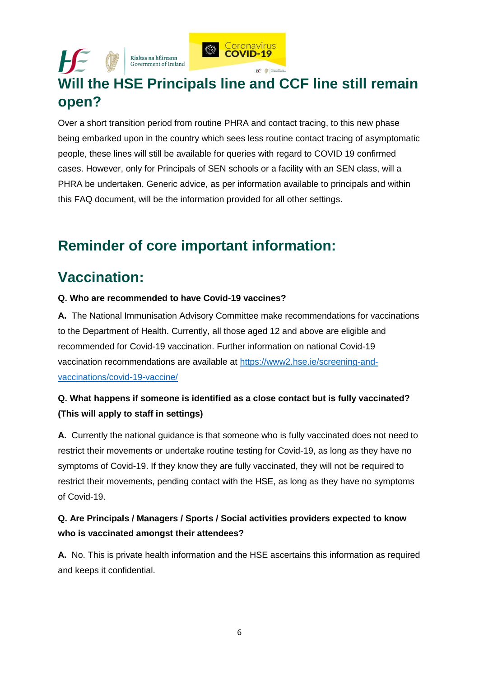Rialtas na hÉireann Government of Ireland



## **Will the HSE Principals line and CCF line still remain open?**

Over a short transition period from routine PHRA and contact tracing, to this new phase being embarked upon in the country which sees less routine contact tracing of asymptomatic people, these lines will still be available for queries with regard to COVID 19 confirmed cases. However, only for Principals of SEN schools or a facility with an SEN class, will a PHRA be undertaken. Generic advice, as per information available to principals and within this FAQ document, will be the information provided for all other settings.

## **Reminder of core important information:**

## **Vaccination:**

#### **Q. Who are recommended to have Covid-19 vaccines?**

**A.** The National Immunisation Advisory Committee make recommendations for vaccinations to the Department of Health. Currently, all those aged 12 and above are eligible and recommended for Covid-19 vaccination. Further information on national Covid-19 vaccination recommendations are available at [https://www2.hse.ie/screening-and](https://www2.hse.ie/screening-and-vaccinations/covid-19-vaccine/)[vaccinations/covid-19-vaccine/](https://www2.hse.ie/screening-and-vaccinations/covid-19-vaccine/)

#### **Q. What happens if someone is identified as a close contact but is fully vaccinated? (This will apply to staff in settings)**

**A.** Currently the national guidance is that someone who is fully vaccinated does not need to restrict their movements or undertake routine testing for Covid-19, as long as they have no symptoms of Covid-19. If they know they are fully vaccinated, they will not be required to restrict their movements, pending contact with the HSE, as long as they have no symptoms of Covid-19.

#### **Q. Are Principals / Managers / Sports / Social activities providers expected to know who is vaccinated amongst their attendees?**

**A.** No. This is private health information and the HSE ascertains this information as required and keeps it confidential.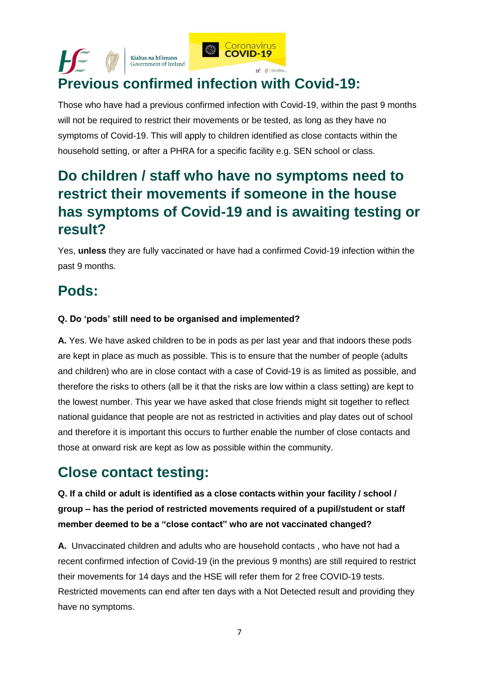

## **Previous confirmed infection with Covid-19:**

Those who have had a previous confirmed infection with Covid-19, within the past 9 months will not be required to restrict their movements or be tested, as long as they have no symptoms of Covid-19. This will apply to children identified as close contacts within the household setting, or after a PHRA for a specific facility e.g. SEN school or class.

## **Do children / staff who have no symptoms need to restrict their movements if someone in the house has symptoms of Covid-19 and is awaiting testing or result?**

Yes, **unless** they are fully vaccinated or have had a confirmed Covid-19 infection within the past 9 months.

## **Pods:**

#### **Q. Do 'pods' still need to be organised and implemented?**

**A.** Yes. We have asked children to be in pods as per last year and that indoors these pods are kept in place as much as possible. This is to ensure that the number of people (adults and children) who are in close contact with a case of Covid-19 is as limited as possible, and therefore the risks to others (all be it that the risks are low within a class setting) are kept to the lowest number. This year we have asked that close friends might sit together to reflect national guidance that people are not as restricted in activities and play dates out of school and therefore it is important this occurs to further enable the number of close contacts and those at onward risk are kept as low as possible within the community.

### **Close contact testing:**

**Q. If a child or adult is identified as a close contacts within your facility / school / group – has the period of restricted movements required of a pupil/student or staff member deemed to be a "close contact" who are not vaccinated changed?** 

**A.** Unvaccinated children and adults who are household contacts , who have not had a recent confirmed infection of Covid-19 (in the previous 9 months) are still required to restrict their movements for 14 days and the HSE will refer them for 2 free COVID-19 tests. Restricted movements can end after ten days with a Not Detected result and providing they have no symptoms.